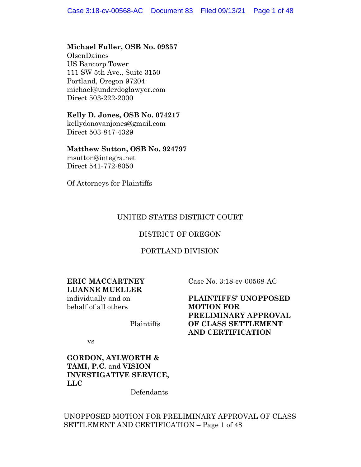### **Michael Fuller, OSB No. 09357**

OlsenDaines US Bancorp Tower 111 SW 5th Ave., Suite 3150 Portland, Oregon 97204 michael@underdoglawyer.com Direct 503-222-2000

### **Kelly D. Jones, OSB No. 074217**

kellydonovanjones@gmail.com Direct 503-847-4329

### **Matthew Sutton, OSB No. 924797**

msutton@integra.net Direct 541-772-8050

Of Attorneys for Plaintiffs

### UNITED STATES DISTRICT COURT

### DISTRICT OF OREGON

### PORTLAND DIVISION

### **ERIC MACCARTNEY LUANNE MUELLER**

individually and on behalf of all others

Plaintiffs

Case No. 3:18-cv-00568-AC

**PLAINTIFFS' UNOPPOSED MOTION FOR PRELIMINARY APPROVAL OF CLASS SETTLEMENT AND CERTIFICATION**

vs

# **GORDON, AYLWORTH & TAMI, P.C.** and **VISION INVESTIGATIVE SERVICE, LLC**

Defendants

### UNOPPOSED MOTION FOR PRELIMINARY APPROVAL OF CLASS SETTLEMENT AND CERTIFICATION – Page 1 of 48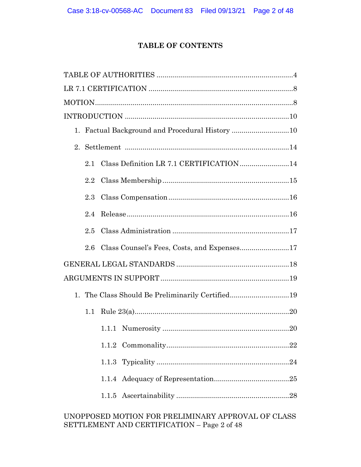# **TABLE OF CONTENTS**

|         | 1. Factual Background and Procedural History 10  |  |
|---------|--------------------------------------------------|--|
|         |                                                  |  |
| 2.1     | Class Definition LR 7.1 CERTIFICATION14          |  |
| $2.2\,$ |                                                  |  |
| 2.3     |                                                  |  |
| 2.4     |                                                  |  |
| 2.5     |                                                  |  |
| 2.6     | Class Counsel's Fees, Costs, and Expenses17      |  |
|         |                                                  |  |
|         |                                                  |  |
|         | 1. The Class Should Be Preliminarily Certified19 |  |
| 1.1     |                                                  |  |
|         |                                                  |  |
|         |                                                  |  |
|         |                                                  |  |
|         |                                                  |  |
|         |                                                  |  |
|         |                                                  |  |

# UNOPPOSED MOTION FOR PRELIMINARY APPROVAL OF CLASS SETTLEMENT AND CERTIFICATION – Page 2 of 48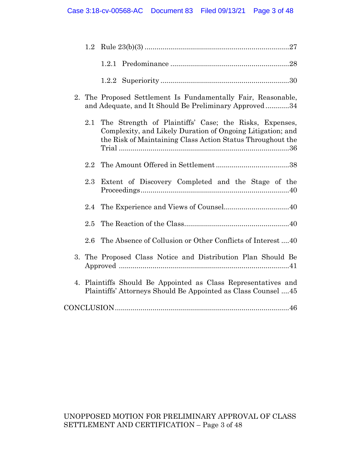|    | $1.2\,$ |                                                                                                                                                                                    |
|----|---------|------------------------------------------------------------------------------------------------------------------------------------------------------------------------------------|
|    |         |                                                                                                                                                                                    |
|    |         |                                                                                                                                                                                    |
| 2. |         | The Proposed Settlement Is Fundamentally Fair, Reasonable,<br>and Adequate, and It Should Be Preliminary Approved34                                                                |
|    | 2.1     | The Strength of Plaintiffs' Case; the Risks, Expenses,<br>Complexity, and Likely Duration of Ongoing Litigation; and<br>the Risk of Maintaining Class Action Status Throughout the |
|    | 2.2     |                                                                                                                                                                                    |
|    | 2.3     | Extent of Discovery Completed and the Stage of the                                                                                                                                 |
|    | 2.4     |                                                                                                                                                                                    |
|    | 2.5     |                                                                                                                                                                                    |
|    | $2.6\,$ | The Absence of Collusion or Other Conflicts of Interest 40                                                                                                                         |
| 3. |         | The Proposed Class Notice and Distribution Plan Should Be                                                                                                                          |
| 4. |         | Plaintiffs Should Be Appointed as Class Representatives and<br>Plaintiffs' Attorneys Should Be Appointed as Class Counsel 45                                                       |
|    |         |                                                                                                                                                                                    |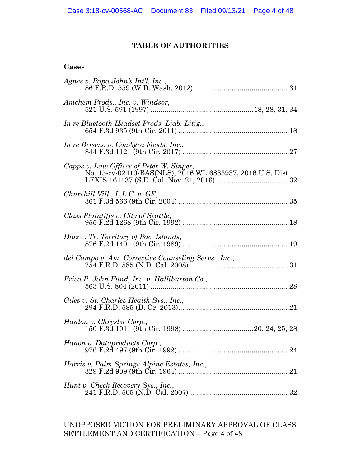# **TABLE OF AUTHORITIES**

### **Cases**

| Agnes v. Papa John's Int'l, Inc.,                                                                      |
|--------------------------------------------------------------------------------------------------------|
| Amchem Prods., Inc. v. Windsor,                                                                        |
| In re Bluetooth Headset Prods. Liab. Litig.,                                                           |
| In re Briseno v. ConAgra Foods, Inc.,                                                                  |
| Capps v. Law Offices of Peter W. Singer,<br>No. 15-cv-02410-BAS(NLS), 2016 WL 6833937, 2016 U.S. Dist. |
| Churchill Vill., L.L.C. v. GE,                                                                         |
| Class Plaintiffs v. City of Seattle,                                                                   |
| Diaz v. Tr. Territory of Pac. Islands,                                                                 |
|                                                                                                        |
|                                                                                                        |
| Giles v. St. Charles Health Sys., Inc.,                                                                |
| Hanlon v. Chrysler Corp.,                                                                              |
| Hanon v. Dataproducts Corp.,                                                                           |
| Harris v. Palm Springs Alpine Estates, Inc.,                                                           |
| Hunt v. Check Recovery Sys., Inc.,                                                                     |

UNOPPOSED MOTION FOR PRELIMINARY APPROVAL OF CLASS SETTLEMENT AND CERTIFICATION – Page 4 of 48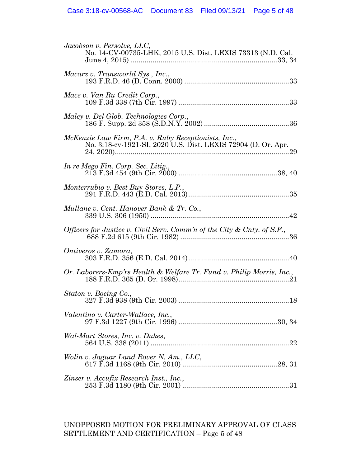| Jacobson v. Persolve, LLC,<br>No. 14-CV-00735-LHK, 2015 U.S. Dist. LEXIS 73313 (N.D. Cal.                             |
|-----------------------------------------------------------------------------------------------------------------------|
| Macarz v. Transworld Sys., Inc.,                                                                                      |
| Mace v. Van Ru Credit Corp.,                                                                                          |
| Maley v. Del Glob. Technologies Corp.,                                                                                |
| McKenzie Law Firm, P.A. v. Ruby Receptionists, Inc.,<br>No. 3:18-cv-1921-SI, 2020 U.S. Dist. LEXIS 72904 (D. Or. Apr. |
| In re Mego Fin. Corp. Sec. Litig.,                                                                                    |
| Monterrubio v. Best Buy Stores, L.P.,                                                                                 |
| Mullane v. Cent. Hanover Bank & Tr. Co.,                                                                              |
| Officers for Justice v. Civil Serv. Comm'n of the City & Cnty. of S.F.,                                               |
| Ontiveros v. Zamora,                                                                                                  |
| Or. Laborers-Emp'rs Health & Welfare Tr. Fund v. Philip Morris, Inc.,                                                 |
| Staton v. Boeing Co.,                                                                                                 |
| Valentino v. Carter-Wallace, Inc.,                                                                                    |
| Wal-Mart Stores, Inc. v. Dukes,                                                                                       |
| Wolin v. Jaguar Land Rover N. Am., LLC,                                                                               |
| Zinser v. Accufix Research Inst., Inc.,                                                                               |

# UNOPPOSED MOTION FOR PRELIMINARY APPROVAL OF CLASS SETTLEMENT AND CERTIFICATION – Page 5 of 48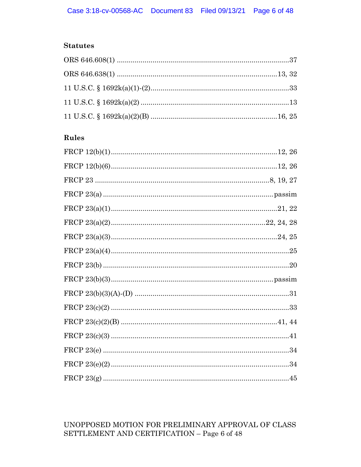# **Statutes**

# Rules

# UNOPPOSED MOTION FOR PRELIMINARY APPROVAL OF CLASS SETTLEMENT AND CERTIFICATION – Page 6 of 48  $\,$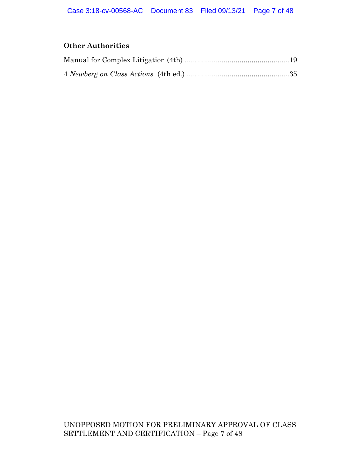# **Other Authorities**

UNOPPOSED MOTION FOR PRELIMINARY APPROVAL OF CLASS SETTLEMENT AND CERTIFICATION – Page 7 of 48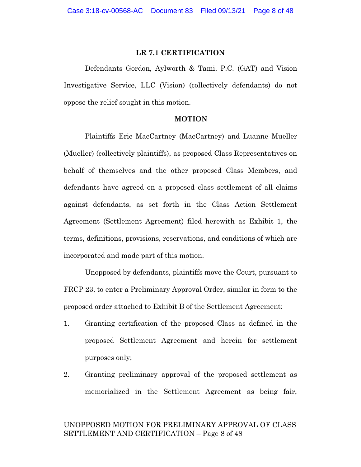### **LR 7.1 CERTIFICATION**

Defendants Gordon, Aylworth & Tami, P.C. (GAT) and Vision Investigative Service, LLC (Vision) (collectively defendants) do not oppose the relief sought in this motion.

#### **MOTION**

Plaintiffs Eric MacCartney (MacCartney) and Luanne Mueller (Mueller) (collectively plaintiffs), as proposed Class Representatives on behalf of themselves and the other proposed Class Members, and defendants have agreed on a proposed class settlement of all claims against defendants, as set forth in the Class Action Settlement Agreement (Settlement Agreement) filed herewith as Exhibit 1, the terms, definitions, provisions, reservations, and conditions of which are incorporated and made part of this motion.

Unopposed by defendants, plaintiffs move the Court, pursuant to FRCP 23, to enter a Preliminary Approval Order, similar in form to the proposed order attached to Exhibit B of the Settlement Agreement:

- 1. Granting certification of the proposed Class as defined in the proposed Settlement Agreement and herein for settlement purposes only;
- 2. Granting preliminary approval of the proposed settlement as memorialized in the Settlement Agreement as being fair,

### UNOPPOSED MOTION FOR PRELIMINARY APPROVAL OF CLASS SETTLEMENT AND CERTIFICATION – Page 8 of 48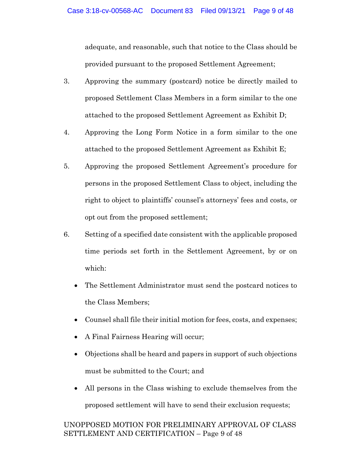adequate, and reasonable, such that notice to the Class should be provided pursuant to the proposed Settlement Agreement;

- 3. Approving the summary (postcard) notice be directly mailed to proposed Settlement Class Members in a form similar to the one attached to the proposed Settlement Agreement as Exhibit D;
- 4. Approving the Long Form Notice in a form similar to the one attached to the proposed Settlement Agreement as Exhibit E;
- 5. Approving the proposed Settlement Agreement's procedure for persons in the proposed Settlement Class to object, including the right to object to plaintiffs' counsel's attorneys' fees and costs, or opt out from the proposed settlement;
- 6. Setting of a specified date consistent with the applicable proposed time periods set forth in the Settlement Agreement, by or on which:
	- The Settlement Administrator must send the postcard notices to the Class Members;
	- Counsel shall file their initial motion for fees, costs, and expenses;
	- A Final Fairness Hearing will occur;
	- Objections shall be heard and papers in support of such objections must be submitted to the Court; and
	- All persons in the Class wishing to exclude themselves from the proposed settlement will have to send their exclusion requests;

# UNOPPOSED MOTION FOR PRELIMINARY APPROVAL OF CLASS SETTLEMENT AND CERTIFICATION – Page 9 of 48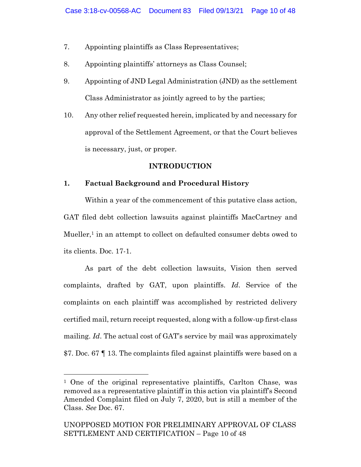- 7. Appointing plaintiffs as Class Representatives;
- 8. Appointing plaintiffs' attorneys as Class Counsel;
- 9. Appointing of JND Legal Administration (JND) as the settlement Class Administrator as jointly agreed to by the parties;
- 10. Any other relief requested herein, implicated by and necessary for approval of the Settlement Agreement, or that the Court believes is necessary, just, or proper.

### **INTRODUCTION**

# **1. Factual Background and Procedural History**

Within a year of the commencement of this putative class action, GAT filed debt collection lawsuits against plaintiffs MacCartney and Mueller, <sup>1</sup> in an attempt to collect on defaulted consumer debts owed to its clients. Doc. 17-1.

As part of the debt collection lawsuits, Vision then served complaints, drafted by GAT, upon plaintiffs. *Id*. Service of the complaints on each plaintiff was accomplished by restricted delivery certified mail, return receipt requested, along with a follow-up first-class mailing. *Id*. The actual cost of GAT's service by mail was approximately \$7. Doc. 67 ¶ 13. The complaints filed against plaintiffs were based on a

<sup>1</sup> One of the original representative plaintiffs, Carlton Chase, was removed as a representative plaintiff in this action via plaintiff's Second Amended Complaint filed on July 7, 2020, but is still a member of the Class. *See* Doc. 67.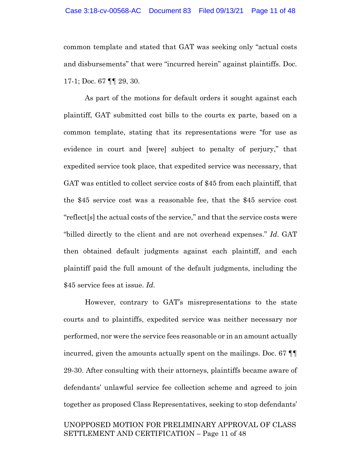common template and stated that GAT was seeking only "actual costs and disbursements" that were "incurred herein" against plaintiffs. Doc. 17-1; Doc. 67 ¶¶ 29, 30.

As part of the motions for default orders it sought against each plaintiff, GAT submitted cost bills to the courts ex parte, based on a common template, stating that its representations were "for use as evidence in court and [were] subject to penalty of perjury," that expedited service took place, that expedited service was necessary, that GAT was entitled to collect service costs of \$45 from each plaintiff, that the \$45 service cost was a reasonable fee, that the \$45 service cost "reflect[s] the actual costs of the service," and that the service costs were "billed directly to the client and are not overhead expenses." *Id*. GAT then obtained default judgments against each plaintiff, and each plaintiff paid the full amount of the default judgments, including the \$45 service fees at issue. *Id*.

However, contrary to GAT's misrepresentations to the state courts and to plaintiffs, expedited service was neither necessary nor performed, nor were the service fees reasonable or in an amount actually incurred, given the amounts actually spent on the mailings. Doc. 67 ¶¶ 29-30. After consulting with their attorneys, plaintiffs became aware of defendants' unlawful service fee collection scheme and agreed to join together as proposed Class Representatives, seeking to stop defendants'

### UNOPPOSED MOTION FOR PRELIMINARY APPROVAL OF CLASS SETTLEMENT AND CERTIFICATION – Page 11 of 48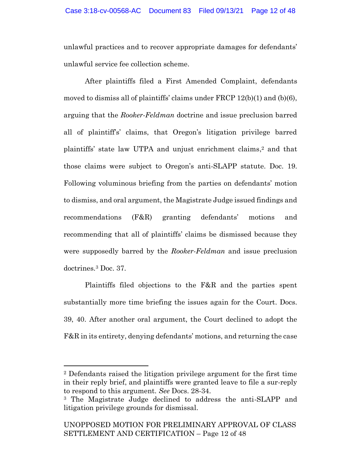unlawful practices and to recover appropriate damages for defendants' unlawful service fee collection scheme.

After plaintiffs filed a First Amended Complaint, defendants moved to dismiss all of plaintiffs' claims under  $\text{FRCP}$  12(b)(1) and (b)(6), arguing that the *Rooker-Feldman* doctrine and issue preclusion barred all of plaintiff's' claims, that Oregon's litigation privilege barred plaintiffs' state law UTPA and unjust enrichment claims, <sup>2</sup> and that those claims were subject to Oregon's anti-SLAPP statute. Doc. 19. Following voluminous briefing from the parties on defendants' motion to dismiss, and oral argument, the Magistrate Judge issued findings and recommendations (F&R) granting defendants' motions and recommending that all of plaintiffs' claims be dismissed because they were supposedly barred by the *Rooker-Feldman* and issue preclusion doctrines. <sup>3</sup> Doc. 37.

Plaintiffs filed objections to the F&R and the parties spent substantially more time briefing the issues again for the Court. Docs. 39, 40. After another oral argument, the Court declined to adopt the F&R in its entirety, denying defendants' motions, and returning the case

<sup>2</sup> Defendants raised the litigation privilege argument for the first time in their reply brief, and plaintiffs were granted leave to file a sur-reply to respond to this argument. *See* Docs. 28-34.

<sup>3</sup> The Magistrate Judge declined to address the anti-SLAPP and litigation privilege grounds for dismissal.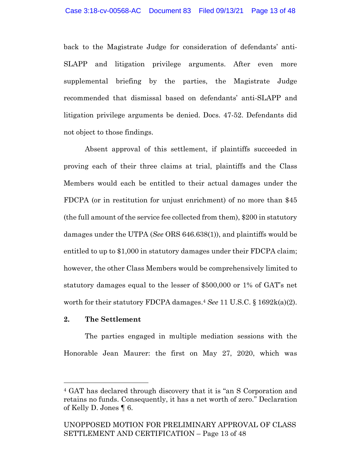back to the Magistrate Judge for consideration of defendants' anti-SLAPP and litigation privilege arguments. After even more supplemental briefing by the parties, the Magistrate Judge recommended that dismissal based on defendants' anti-SLAPP and litigation privilege arguments be denied. Docs. 47-52. Defendants did not object to those findings.

Absent approval of this settlement, if plaintiffs succeeded in proving each of their three claims at trial, plaintiffs and the Class Members would each be entitled to their actual damages under the FDCPA (or in restitution for unjust enrichment) of no more than \$45 (the full amount of the service fee collected from them), \$200 in statutory damages under the UTPA (*See* ORS 646.638(1)), and plaintiffs would be entitled to up to \$1,000 in statutory damages under their FDCPA claim; however, the other Class Members would be comprehensively limited to statutory damages equal to the lesser of \$500,000 or 1% of GAT's net worth for their statutory FDCPA damages. <sup>4</sup> *See* 11 U.S.C. § 1692k(a)(2).

### **2. The Settlement**

The parties engaged in multiple mediation sessions with the Honorable Jean Maurer: the first on May 27, 2020, which was

<sup>4</sup> GAT has declared through discovery that it is "an S Corporation and retains no funds. Consequently, it has a net worth of zero." Declaration of Kelly D. Jones ¶ 6.

UNOPPOSED MOTION FOR PRELIMINARY APPROVAL OF CLASS SETTLEMENT AND CERTIFICATION – Page 13 of 48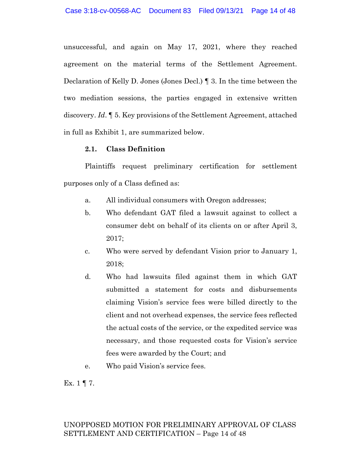unsuccessful, and again on May 17, 2021, where they reached agreement on the material terms of the Settlement Agreement. Declaration of Kelly D. Jones (Jones Decl.) ¶ 3. In the time between the two mediation sessions, the parties engaged in extensive written discovery. *Id*. ¶ 5. Key provisions of the Settlement Agreement, attached in full as Exhibit 1, are summarized below.

### **2.1. Class Definition**

Plaintiffs request preliminary certification for settlement purposes only of a Class defined as:

- a. All individual consumers with Oregon addresses;
- b. Who defendant GAT filed a lawsuit against to collect a consumer debt on behalf of its clients on or after April 3, 2017;
- c. Who were served by defendant Vision prior to January 1, 2018;
- d. Who had lawsuits filed against them in which GAT submitted a statement for costs and disbursements claiming Vision's service fees were billed directly to the client and not overhead expenses, the service fees reflected the actual costs of the service, or the expedited service was necessary, and those requested costs for Vision's service fees were awarded by the Court; and
- e. Who paid Vision's service fees.

Ex.  $1 \nvert 7$ .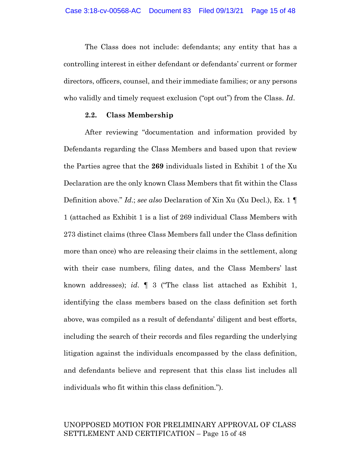The Class does not include: defendants; any entity that has a controlling interest in either defendant or defendants' current or former directors, officers, counsel, and their immediate families; or any persons who validly and timely request exclusion ("opt out") from the Class. *Id*.

#### **2.2. Class Membership**

After reviewing "documentation and information provided by Defendants regarding the Class Members and based upon that review the Parties agree that the **269** individuals listed in Exhibit 1 of the Xu Declaration are the only known Class Members that fit within the Class Definition above." *Id*.; *see also* Declaration of Xin Xu (Xu Decl.), Ex. 1 ¶ 1 (attached as Exhibit 1 is a list of 269 individual Class Members with 273 distinct claims (three Class Members fall under the Class definition more than once) who are releasing their claims in the settlement, along with their case numbers, filing dates, and the Class Members' last known addresses); *id*. ¶ 3 ("The class list attached as Exhibit 1, identifying the class members based on the class definition set forth above, was compiled as a result of defendants' diligent and best efforts, including the search of their records and files regarding the underlying litigation against the individuals encompassed by the class definition, and defendants believe and represent that this class list includes all individuals who fit within this class definition.").

# UNOPPOSED MOTION FOR PRELIMINARY APPROVAL OF CLASS SETTLEMENT AND CERTIFICATION – Page 15 of 48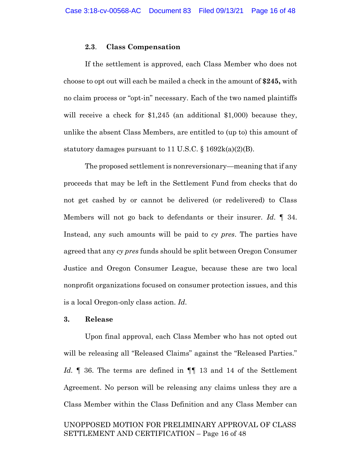#### **2.3**. **Class Compensation**

If the settlement is approved, each Class Member who does not choose to opt out will each be mailed a check in the amount of **\$245,** with no claim process or "opt-in" necessary. Each of the two named plaintiffs will receive a check for \$1,245 (an additional \$1,000) because they, unlike the absent Class Members, are entitled to (up to) this amount of statutory damages pursuant to 11 U.S.C.  $\S$  1692k(a)(2)(B).

The proposed settlement is nonreversionary—meaning that if any proceeds that may be left in the Settlement Fund from checks that do not get cashed by or cannot be delivered (or redelivered) to Class Members will not go back to defendants or their insurer. *Id*. ¶ 34. Instead, any such amounts will be paid to *cy pres*. The parties have agreed that any *cy pres* funds should be split between Oregon Consumer Justice and Oregon Consumer League, because these are two local nonprofit organizations focused on consumer protection issues, and this is a local Oregon-only class action. *Id*.

#### **3. Release**

Upon final approval, each Class Member who has not opted out will be releasing all "Released Claims" against the "Released Parties." *Id.* ¶ 36. The terms are defined in ¶¶ 13 and 14 of the Settlement Agreement. No person will be releasing any claims unless they are a Class Member within the Class Definition and any Class Member can

# UNOPPOSED MOTION FOR PRELIMINARY APPROVAL OF CLASS SETTLEMENT AND CERTIFICATION – Page 16 of 48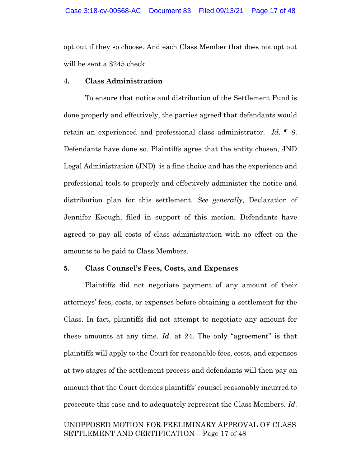opt out if they so choose. And each Class Member that does not opt out will be sent a \$245 check.

### **4. Class Administration**

To ensure that notice and distribution of the Settlement Fund is done properly and effectively, the parties agreed that defendants would retain an experienced and professional class administrator. *Id*. ¶ 8. Defendants have done so. Plaintiffs agree that the entity chosen, JND Legal Administration (JND) is a fine choice and has the experience and professional tools to properly and effectively administer the notice and distribution plan for this settlement. *See generally*, Declaration of Jennifer Keough, filed in support of this motion. Defendants have agreed to pay all costs of class administration with no effect on the amounts to be paid to Class Members.

#### **5. Class Counsel's Fees, Costs, and Expenses**

Plaintiffs did not negotiate payment of any amount of their attorneys' fees, costs, or expenses before obtaining a settlement for the Class. In fact, plaintiffs did not attempt to negotiate any amount for these amounts at any time. *Id*. at 24. The only "agreement" is that plaintiffs will apply to the Court for reasonable fees, costs, and expenses at two stages of the settlement process and defendants will then pay an amount that the Court decides plaintiffs' counsel reasonably incurred to prosecute this case and to adequately represent the Class Members. *Id*.

# UNOPPOSED MOTION FOR PRELIMINARY APPROVAL OF CLASS SETTLEMENT AND CERTIFICATION – Page 17 of 48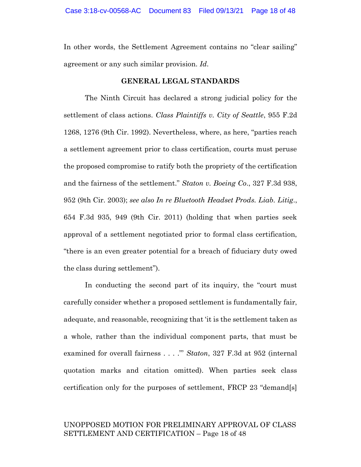In other words, the Settlement Agreement contains no "clear sailing" agreement or any such similar provision. *Id*.

### **GENERAL LEGAL STANDARDS**

The Ninth Circuit has declared a strong judicial policy for the settlement of class actions. *Class Plaintiffs v. City of Seattle*, 955 F.2d 1268, 1276 (9th Cir. 1992). Nevertheless, where, as here, "parties reach a settlement agreement prior to class certification, courts must peruse the proposed compromise to ratify both the propriety of the certification and the fairness of the settlement." *Staton v. Boeing Co*., 327 F.3d 938, 952 (9th Cir. 2003); *see also In re Bluetooth Headset Prods. Liab. Litig*., 654 F.3d 935, 949 (9th Cir. 2011) (holding that when parties seek approval of a settlement negotiated prior to formal class certification, "there is an even greater potential for a breach of fiduciary duty owed the class during settlement").

In conducting the second part of its inquiry, the "court must carefully consider whether a proposed settlement is fundamentally fair, adequate, and reasonable, recognizing that 'it is the settlement taken as a whole, rather than the individual component parts, that must be examined for overall fairness . . . ."' *Staton*, 327 F.3d at 952 (internal quotation marks and citation omitted). When parties seek class certification only for the purposes of settlement, FRCP 23 "demand[s]

### UNOPPOSED MOTION FOR PRELIMINARY APPROVAL OF CLASS SETTLEMENT AND CERTIFICATION – Page 18 of 48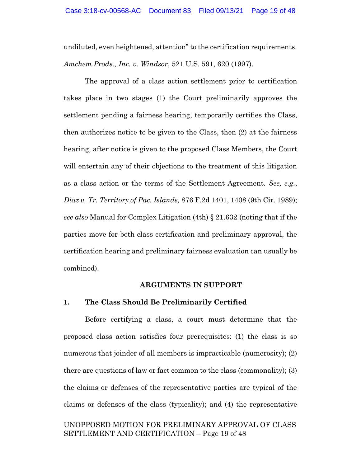undiluted, even heightened, attention" to the certification requirements. *Amchem Prods., Inc. v. Windsor*, 521 U.S. 591, 620 (1997).

The approval of a class action settlement prior to certification takes place in two stages (1) the Court preliminarily approves the settlement pending a fairness hearing, temporarily certifies the Class, then authorizes notice to be given to the Class, then (2) at the fairness hearing, after notice is given to the proposed Class Members, the Court will entertain any of their objections to the treatment of this litigation as a class action or the terms of the Settlement Agreement. *See, e.g.*, *Diaz v. Tr. Territory of Pac. Islands,* 876 F.2d 1401, 1408 (9th Cir. 1989); *see also* Manual for Complex Litigation (4th) § 21.632 (noting that if the parties move for both class certification and preliminary approval, the certification hearing and preliminary fairness evaluation can usually be combined).

#### **ARGUMENTS IN SUPPORT**

#### **1. The Class Should Be Preliminarily Certified**

Before certifying a class, a court must determine that the proposed class action satisfies four prerequisites: (1) the class is so numerous that joinder of all members is impracticable (numerosity); (2) there are questions of law or fact common to the class (commonality); (3) the claims or defenses of the representative parties are typical of the claims or defenses of the class (typicality); and (4) the representative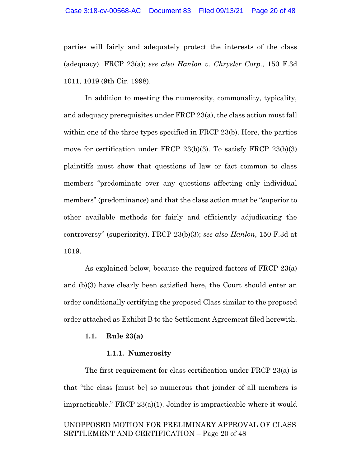parties will fairly and adequately protect the interests of the class (adequacy). FRCP 23(a); *see also Hanlon v. Chrysler Corp.*, 150 F.3d 1011, 1019 (9th Cir. 1998).

In addition to meeting the numerosity, commonality, typicality, and adequacy prerequisites under FRCP 23(a), the class action must fall within one of the three types specified in FRCP 23(b). Here, the parties move for certification under FRCP 23(b)(3). To satisfy FRCP 23(b)(3) plaintiffs must show that questions of law or fact common to class members "predominate over any questions affecting only individual members" (predominance) and that the class action must be "superior to other available methods for fairly and efficiently adjudicating the controversy" (superiority). FRCP 23(b)(3); *see also Hanlon*, 150 F.3d at 1019.

As explained below, because the required factors of FRCP 23(a) and (b)(3) have clearly been satisfied here, the Court should enter an order conditionally certifying the proposed Class similar to the proposed order attached as Exhibit B to the Settlement Agreement filed herewith.

#### **1.1. Rule 23(a)**

### **1.1.1. Numerosity**

The first requirement for class certification under FRCP 23(a) is that "the class [must be] so numerous that joinder of all members is impracticable." FRCP 23(a)(1). Joinder is impracticable where it would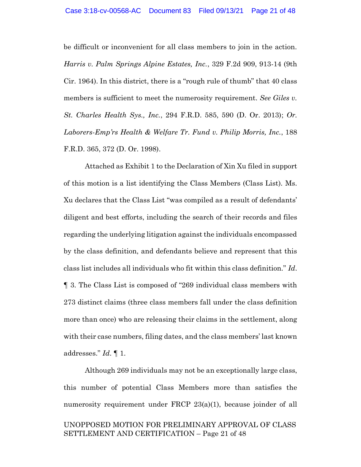be difficult or inconvenient for all class members to join in the action. *Harris v. Palm Springs Alpine Estates, Inc.*, 329 F.2d 909, 913-14 (9th Cir. 1964). In this district, there is a "rough rule of thumb" that 40 class members is sufficient to meet the numerosity requirement. *See Giles v. St. Charles Health Sys., Inc.*, 294 F.R.D. 585, 590 (D. Or. 2013); *Or. Laborers-Emp'rs Health & Welfare Tr. Fund v. Philip Morris, Inc.*, 188 F.R.D. 365, 372 (D. Or. 1998).

Attached as Exhibit 1 to the Declaration of Xin Xu filed in support of this motion is a list identifying the Class Members (Class List). Ms. Xu declares that the Class List "was compiled as a result of defendants' diligent and best efforts, including the search of their records and files regarding the underlying litigation against the individuals encompassed by the class definition, and defendants believe and represent that this class list includes all individuals who fit within this class definition." *Id*. ¶ 3. The Class List is composed of "269 individual class members with 273 distinct claims (three class members fall under the class definition more than once) who are releasing their claims in the settlement, along with their case numbers, filing dates, and the class members' last known addresses." *Id*. ¶ 1.

UNOPPOSED MOTION FOR PRELIMINARY APPROVAL OF CLASS SETTLEMENT AND CERTIFICATION – Page 21 of 48 Although 269 individuals may not be an exceptionally large class, this number of potential Class Members more than satisfies the numerosity requirement under FRCP 23(a)(1), because joinder of all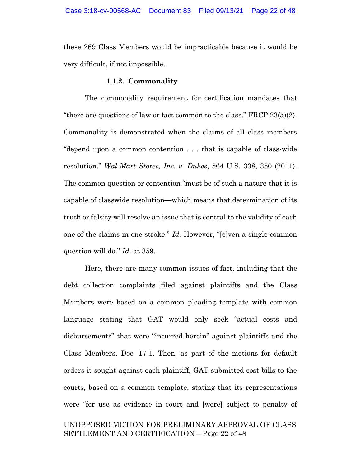these 269 Class Members would be impracticable because it would be very difficult, if not impossible.

#### **1.1.2. Commonality**

The commonality requirement for certification mandates that "there are questions of law or fact common to the class." FRCP  $23(a)(2)$ . Commonality is demonstrated when the claims of all class members "depend upon a common contention . . . that is capable of class-wide resolution." *Wal-Mart Stores, Inc. v. Dukes*, 564 U.S. 338, 350 (2011). The common question or contention "must be of such a nature that it is capable of classwide resolution—which means that determination of its truth or falsity will resolve an issue that is central to the validity of each one of the claims in one stroke." *Id*. However, "[e]ven a single common question will do." *Id*. at 359.

Here, there are many common issues of fact, including that the debt collection complaints filed against plaintiffs and the Class Members were based on a common pleading template with common language stating that GAT would only seek "actual costs and disbursements" that were "incurred herein" against plaintiffs and the Class Members. Doc. 17-1. Then, as part of the motions for default orders it sought against each plaintiff, GAT submitted cost bills to the courts, based on a common template, stating that its representations were "for use as evidence in court and [were] subject to penalty of

# UNOPPOSED MOTION FOR PRELIMINARY APPROVAL OF CLASS SETTLEMENT AND CERTIFICATION – Page 22 of 48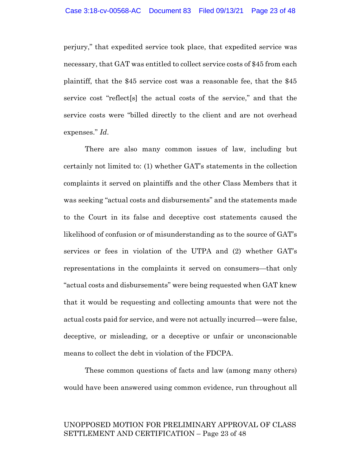perjury," that expedited service took place, that expedited service was necessary, that GAT was entitled to collect service costs of \$45 from each plaintiff, that the \$45 service cost was a reasonable fee, that the \$45 service cost "reflect[s] the actual costs of the service," and that the service costs were "billed directly to the client and are not overhead expenses." *Id*.

There are also many common issues of law, including but certainly not limited to: (1) whether GAT's statements in the collection complaints it served on plaintiffs and the other Class Members that it was seeking "actual costs and disbursements" and the statements made to the Court in its false and deceptive cost statements caused the likelihood of confusion or of misunderstanding as to the source of GAT's services or fees in violation of the UTPA and (2) whether GAT's representations in the complaints it served on consumers—that only "actual costs and disbursements" were being requested when GAT knew that it would be requesting and collecting amounts that were not the actual costs paid for service, and were not actually incurred—were false, deceptive, or misleading, or a deceptive or unfair or unconscionable means to collect the debt in violation of the FDCPA.

These common questions of facts and law (among many others) would have been answered using common evidence, run throughout all

# UNOPPOSED MOTION FOR PRELIMINARY APPROVAL OF CLASS SETTLEMENT AND CERTIFICATION – Page 23 of 48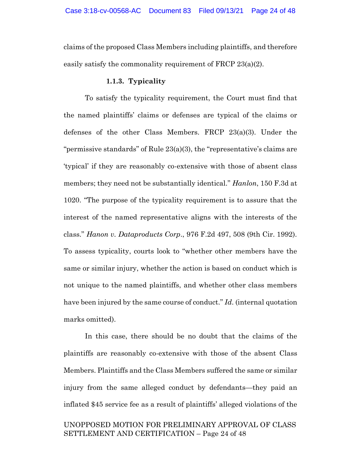claims of the proposed Class Members including plaintiffs, and therefore easily satisfy the commonality requirement of FRCP 23(a)(2).

### **1.1.3. Typicality**

To satisfy the typicality requirement, the Court must find that the named plaintiffs' claims or defenses are typical of the claims or defenses of the other Class Members. FRCP 23(a)(3). Under the "permissive standards" of Rule 23(a)(3), the "representative's claims are 'typical' if they are reasonably co-extensive with those of absent class members; they need not be substantially identical." *Hanlon*, 150 F.3d at 1020. "The purpose of the typicality requirement is to assure that the interest of the named representative aligns with the interests of the class." *Hanon v. Dataproducts Corp*., 976 F.2d 497, 508 (9th Cir. 1992). To assess typicality, courts look to "whether other members have the same or similar injury, whether the action is based on conduct which is not unique to the named plaintiffs, and whether other class members have been injured by the same course of conduct." *Id*. (internal quotation marks omitted).

In this case, there should be no doubt that the claims of the plaintiffs are reasonably co-extensive with those of the absent Class Members. Plaintiffs and the Class Members suffered the same or similar injury from the same alleged conduct by defendants—they paid an inflated \$45 service fee as a result of plaintiffs' alleged violations of the

# UNOPPOSED MOTION FOR PRELIMINARY APPROVAL OF CLASS SETTLEMENT AND CERTIFICATION – Page 24 of 48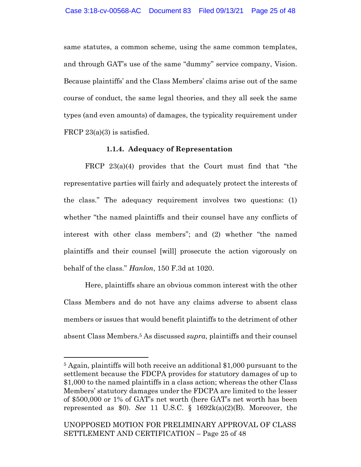same statutes, a common scheme, using the same common templates, and through GAT's use of the same "dummy" service company, Vision. Because plaintiffs' and the Class Members' claims arise out of the same course of conduct, the same legal theories, and they all seek the same types (and even amounts) of damages, the typicality requirement under FRCP 23(a)(3) is satisfied.

### **1.1.4. Adequacy of Representation**

FRCP 23(a)(4) provides that the Court must find that "the representative parties will fairly and adequately protect the interests of the class." The adequacy requirement involves two questions: (1) whether "the named plaintiffs and their counsel have any conflicts of interest with other class members"; and (2) whether "the named plaintiffs and their counsel [will] prosecute the action vigorously on behalf of the class." *Hanlon*, 150 F.3d at 1020.

Here, plaintiffs share an obvious common interest with the other Class Members and do not have any claims adverse to absent class members or issues that would benefit plaintiffs to the detriment of other absent Class Members. <sup>5</sup> As discussed *supra*, plaintiffs and their counsel

<sup>5</sup> Again, plaintiffs will both receive an additional \$1,000 pursuant to the settlement because the FDCPA provides for statutory damages of up to \$1,000 to the named plaintiffs in a class action; whereas the other Class Members' statutory damages under the FDCPA are limited to the lesser of \$500,000 or 1% of GAT's net worth (here GAT's net worth has been represented as \$0). *See* 11 U.S.C. § 1692k(a)(2)(B). Moreover, the

UNOPPOSED MOTION FOR PRELIMINARY APPROVAL OF CLASS SETTLEMENT AND CERTIFICATION – Page 25 of 48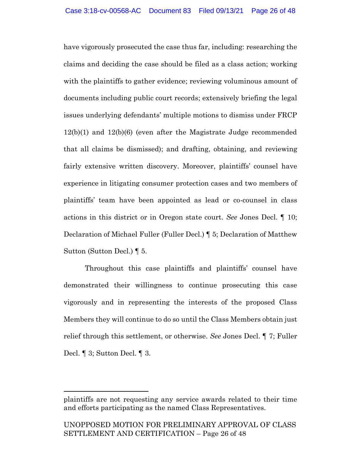have vigorously prosecuted the case thus far, including: researching the claims and deciding the case should be filed as a class action; working with the plaintiffs to gather evidence; reviewing voluminous amount of documents including public court records; extensively briefing the legal issues underlying defendants' multiple motions to dismiss under FRCP 12(b)(1) and 12(b)(6) (even after the Magistrate Judge recommended that all claims be dismissed); and drafting, obtaining, and reviewing fairly extensive written discovery. Moreover, plaintiffs' counsel have experience in litigating consumer protection cases and two members of plaintiffs' team have been appointed as lead or co-counsel in class actions in this district or in Oregon state court. *See* Jones Decl. ¶ 10; Declaration of Michael Fuller (Fuller Decl.) ¶ 5; Declaration of Matthew Sutton (Sutton Decl.) ¶ 5.

Throughout this case plaintiffs and plaintiffs' counsel have demonstrated their willingness to continue prosecuting this case vigorously and in representing the interests of the proposed Class Members they will continue to do so until the Class Members obtain just relief through this settlement, or otherwise. *See* Jones Decl. ¶ 7; Fuller Decl. ¶ 3; Sutton Decl. ¶ 3.

plaintiffs are not requesting any service awards related to their time and efforts participating as the named Class Representatives.

UNOPPOSED MOTION FOR PRELIMINARY APPROVAL OF CLASS SETTLEMENT AND CERTIFICATION – Page 26 of 48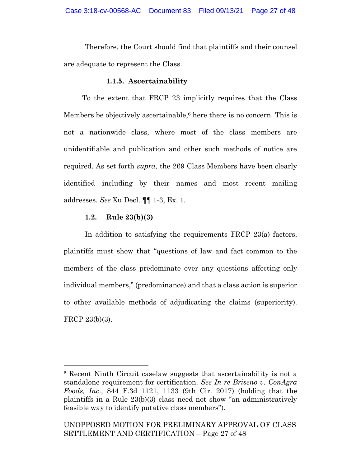Therefore, the Court should find that plaintiffs and their counsel are adequate to represent the Class.

### **1.1.5. Ascertainability**

To the extent that FRCP 23 implicitly requires that the Class Members be objectively ascertainable, <sup>6</sup> here there is no concern. This is not a nationwide class, where most of the class members are unidentifiable and publication and other such methods of notice are required. As set forth *supra*, the 269 Class Members have been clearly identified—including by their names and most recent mailing addresses. *See* Xu Decl. ¶¶ 1-3, Ex. 1.

### **1.2. Rule 23(b)(3)**

In addition to satisfying the requirements FRCP 23(a) factors, plaintiffs must show that "questions of law and fact common to the members of the class predominate over any questions affecting only individual members," (predominance) and that a class action is superior to other available methods of adjudicating the claims (superiority). FRCP 23(b)(3).

<sup>6</sup> Recent Ninth Circuit caselaw suggests that ascertainability is not a standalone requirement for certification. *See In re Briseno v. ConAgra Foods, Inc*., 844 F.3d 1121, 1133 (9th Cir. 2017) (holding that the plaintiffs in a Rule 23(b)(3) class need not show "an administratively feasible way to identify putative class members").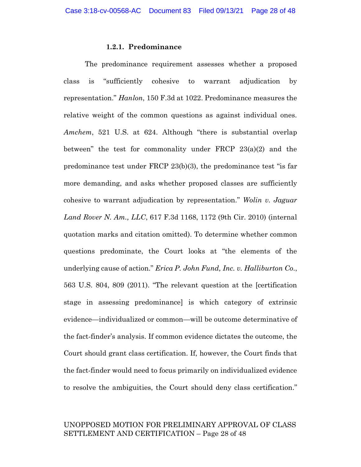#### **1.2.1. Predominance**

The predominance requirement assesses whether a proposed class is "sufficiently cohesive to warrant adjudication by representation." *Hanlon*, 150 F.3d at 1022. Predominance measures the relative weight of the common questions as against individual ones. *Amchem*, 521 U.S. at 624. Although "there is substantial overlap between" the test for commonality under FRCP  $23(a)(2)$  and the predominance test under FRCP 23(b)(3), the predominance test "is far more demanding, and asks whether proposed classes are sufficiently cohesive to warrant adjudication by representation." *Wolin v. Jaguar Land Rover N. Am., LLC*, 617 F.3d 1168, 1172 (9th Cir. 2010) (internal quotation marks and citation omitted). To determine whether common questions predominate, the Court looks at "the elements of the underlying cause of action." *Erica P. John Fund, Inc. v. Halliburton Co*., 563 U.S. 804, 809 (2011). "The relevant question at the [certification stage in assessing predominance] is which category of extrinsic evidence—individualized or common—will be outcome determinative of the fact-finder's analysis. If common evidence dictates the outcome, the Court should grant class certification. If, however, the Court finds that the fact-finder would need to focus primarily on individualized evidence to resolve the ambiguities, the Court should deny class certification."

### UNOPPOSED MOTION FOR PRELIMINARY APPROVAL OF CLASS SETTLEMENT AND CERTIFICATION – Page 28 of 48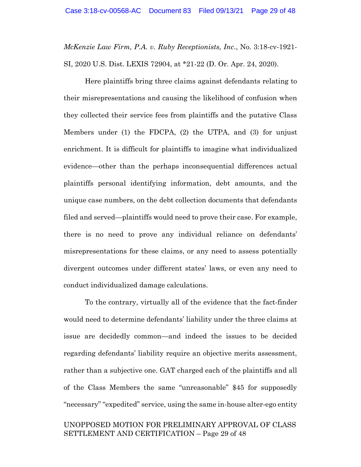*McKenzie Law Firm, P.A. v. Ruby Receptionists, Inc*., No. 3:18-cv-1921- SI, 2020 U.S. Dist. LEXIS 72904, at \*21-22 (D. Or. Apr. 24, 2020).

Here plaintiffs bring three claims against defendants relating to their misrepresentations and causing the likelihood of confusion when they collected their service fees from plaintiffs and the putative Class Members under (1) the FDCPA, (2) the UTPA, and (3) for unjust enrichment. It is difficult for plaintiffs to imagine what individualized evidence—other than the perhaps inconsequential differences actual plaintiffs personal identifying information, debt amounts, and the unique case numbers, on the debt collection documents that defendants filed and served—plaintiffs would need to prove their case. For example, there is no need to prove any individual reliance on defendants' misrepresentations for these claims, or any need to assess potentially divergent outcomes under different states' laws, or even any need to conduct individualized damage calculations.

To the contrary, virtually all of the evidence that the fact-finder would need to determine defendants' liability under the three claims at issue are decidedly common—and indeed the issues to be decided regarding defendants' liability require an objective merits assessment, rather than a subjective one. GAT charged each of the plaintiffs and all of the Class Members the same "unreasonable" \$45 for supposedly "necessary" "expedited" service, using the same in-house alter-ego entity

# UNOPPOSED MOTION FOR PRELIMINARY APPROVAL OF CLASS SETTLEMENT AND CERTIFICATION – Page 29 of 48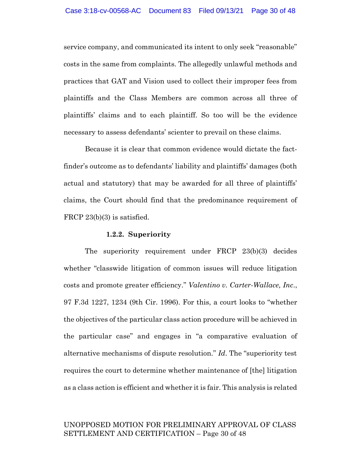service company, and communicated its intent to only seek "reasonable" costs in the same from complaints. The allegedly unlawful methods and practices that GAT and Vision used to collect their improper fees from plaintiffs and the Class Members are common across all three of plaintiffs' claims and to each plaintiff. So too will be the evidence necessary to assess defendants' scienter to prevail on these claims.

Because it is clear that common evidence would dictate the factfinder's outcome as to defendants' liability and plaintiffs' damages (both actual and statutory) that may be awarded for all three of plaintiffs' claims, the Court should find that the predominance requirement of FRCP 23(b)(3) is satisfied.

#### **1.2.2. Superiority**

The superiority requirement under FRCP 23(b)(3) decides whether "classwide litigation of common issues will reduce litigation costs and promote greater efficiency." *Valentino v. Carter-Wallace, Inc*., 97 F.3d 1227, 1234 (9th Cir. 1996). For this, a court looks to "whether the objectives of the particular class action procedure will be achieved in the particular case" and engages in "a comparative evaluation of alternative mechanisms of dispute resolution." *Id*. The "superiority test requires the court to determine whether maintenance of [the] litigation as a class action is efficient and whether it is fair. This analysis is related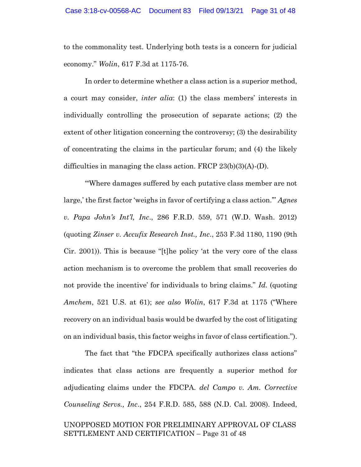to the commonality test. Underlying both tests is a concern for judicial economy." *Wolin*, 617 F.3d at 1175-76.

In order to determine whether a class action is a superior method, a court may consider, *inter alia*: (1) the class members' interests in individually controlling the prosecution of separate actions; (2) the extent of other litigation concerning the controversy; (3) the desirability of concentrating the claims in the particular forum; and (4) the likely difficulties in managing the class action. FRCP 23(b)(3)(A)-(D).

"'Where damages suffered by each putative class member are not large,' the first factor 'weighs in favor of certifying a class action.'" *Agnes v. Papa John's Int'l, Inc*., 286 F.R.D. 559, 571 (W.D. Wash. 2012) (quoting *Zinser v. Accufix Research Inst., Inc*., 253 F.3d 1180, 1190 (9th Cir. 2001)). This is because "[t]he policy 'at the very core of the class action mechanism is to overcome the problem that small recoveries do not provide the incentive' for individuals to bring claims." *Id*. (quoting *Amchem*, 521 U.S. at 61); *see also Wolin*, 617 F.3d at 1175 ("Where recovery on an individual basis would be dwarfed by the cost of litigating on an individual basis, this factor weighs in favor of class certification.").

The fact that "the FDCPA specifically authorizes class actions" indicates that class actions are frequently a superior method for adjudicating claims under the FDCPA. *del Campo v. Am. Corrective Counseling Servs., Inc*., 254 F.R.D. 585, 588 (N.D. Cal. 2008). Indeed,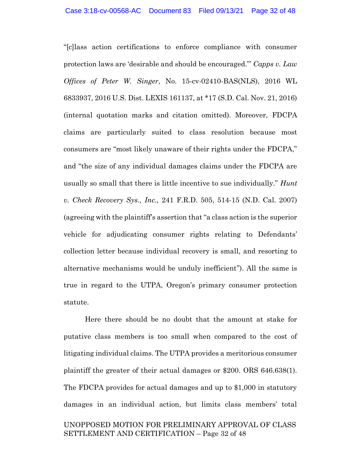"[c]lass action certifications to enforce compliance with consumer protection laws are 'desirable and should be encouraged."' *Capps v. Law Offices of Peter W. Singer*, No. 15-cv-02410-BAS(NLS), 2016 WL 6833937, 2016 U.S. Dist. LEXIS 161137, at \*17 (S.D. Cal. Nov. 21, 2016) (internal quotation marks and citation omitted). Moreover, FDCPA claims are particularly suited to class resolution because most consumers are "most likely unaware of their rights under the FDCPA," and "the size of any individual damages claims under the FDCPA are usually so small that there is little incentive to sue individually." *Hunt v. Check Recovery Sys., Inc.,* 241 F.R.D. 505, 514-15 (N.D. Cal. 2007) (agreeing with the plaintiff's assertion that "a class action is the superior vehicle for adjudicating consumer rights relating to Defendants' collection letter because individual recovery is small, and resorting to alternative mechanisms would be unduly inefficient"). All the same is true in regard to the UTPA, Oregon's primary consumer protection statute.

Here there should be no doubt that the amount at stake for putative class members is too small when compared to the cost of litigating individual claims. The UTPA provides a meritorious consumer plaintiff the greater of their actual damages or \$200. ORS 646.638(1). The FDCPA provides for actual damages and up to \$1,000 in statutory damages in an individual action, but limits class members' total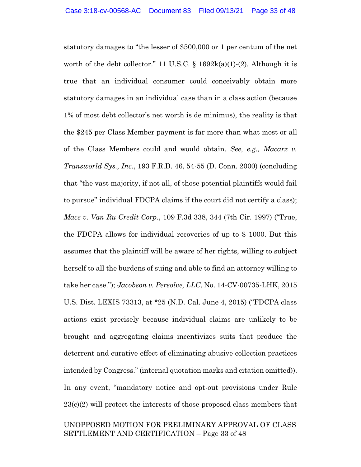statutory damages to "the lesser of \$500,000 or 1 per centum of the net worth of the debt collector." 11 U.S.C.  $\S$  1692k(a)(1)-(2). Although it is true that an individual consumer could conceivably obtain more statutory damages in an individual case than in a class action (because 1% of most debt collector's net worth is de minimus), the reality is that the \$245 per Class Member payment is far more than what most or all of the Class Members could and would obtain. *See, e.g., Macarz v. Transworld Sys., Inc*., 193 F.R.D. 46, 54-55 (D. Conn. 2000) (concluding that "the vast majority, if not all, of those potential plaintiffs would fail to pursue" individual FDCPA claims if the court did not certify a class); *Mace v. Van Ru Credit Corp*., 109 F.3d 338, 344 (7th Cir. 1997) ("True, the FDCPA allows for individual recoveries of up to \$ 1000. But this assumes that the plaintiff will be aware of her rights, willing to subject herself to all the burdens of suing and able to find an attorney willing to take her case."); *Jacobson v. Persolve, LLC*, No. 14-CV-00735-LHK, 2015 U.S. Dist. LEXIS 73313, at \*25 (N.D. Cal. June 4, 2015) ("FDCPA class actions exist precisely because individual claims are unlikely to be brought and aggregating claims incentivizes suits that produce the deterrent and curative effect of eliminating abusive collection practices intended by Congress." (internal quotation marks and citation omitted)). In any event, "mandatory notice and opt-out provisions under Rule 23(c)(2) will protect the interests of those proposed class members that

### UNOPPOSED MOTION FOR PRELIMINARY APPROVAL OF CLASS SETTLEMENT AND CERTIFICATION – Page 33 of 48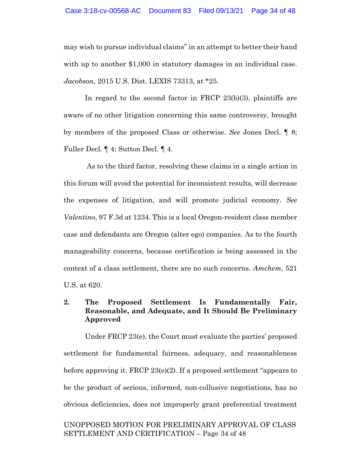may wish to pursue individual claims" in an attempt to better their hand with up to another \$1,000 in statutory damages in an individual case. *Jacobson*, 2015 U.S. Dist. LEXIS 73313, at \*25.

In regard to the second factor in FRCP 23(b)(3), plaintiffs are aware of no other litigation concerning this same controversy, brought by members of the proposed Class or otherwise. *See* Jones Decl. ¶ 8; Fuller Decl. ¶ 4; Sutton Decl. ¶ 4.

As to the third factor, resolving these claims in a single action in this forum will avoid the potential for inconsistent results, will decrease the expenses of litigation, and will promote judicial economy. *See Valentino*, 97 F.3d at 1234. This is a local Oregon-resident class member case and defendants are Oregon (alter ego) companies. As to the fourth manageability concerns, because certification is being assessed in the context of a class settlement, there are no such concerns. *Amchem*, 521 U.S. at 620.

# **2. The Proposed Settlement Is Fundamentally Fair, Reasonable, and Adequate, and It Should Be Preliminary Approved**

Under FRCP 23(e), the Court must evaluate the parties' proposed settlement for fundamental fairness, adequacy, and reasonableness before approving it. FRCP 23(e)(2). If a proposed settlement "appears to be the product of serious, informed, non-collusive negotiations, has no obvious deficiencies, does not improperly grant preferential treatment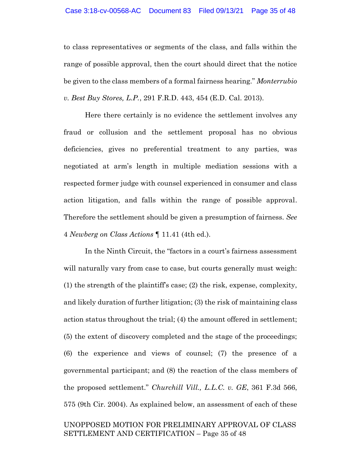to class representatives or segments of the class, and falls within the range of possible approval, then the court should direct that the notice be given to the class members of a formal fairness hearing." *Monterrubio v. Best Buy Stores, L.P.*, 291 F.R.D. 443, 454 (E.D. Cal. 2013).

Here there certainly is no evidence the settlement involves any fraud or collusion and the settlement proposal has no obvious deficiencies, gives no preferential treatment to any parties, was negotiated at arm's length in multiple mediation sessions with a respected former judge with counsel experienced in consumer and class action litigation, and falls within the range of possible approval. Therefore the settlement should be given a presumption of fairness. *See*  4 *Newberg on Class Actions* ¶ 11.41 (4th ed.).

In the Ninth Circuit, the "factors in a court's fairness assessment will naturally vary from case to case, but courts generally must weigh: (1) the strength of the plaintiff's case; (2) the risk, expense, complexity, and likely duration of further litigation; (3) the risk of maintaining class action status throughout the trial; (4) the amount offered in settlement; (5) the extent of discovery completed and the stage of the proceedings; (6) the experience and views of counsel; (7) the presence of a governmental participant; and (8) the reaction of the class members of the proposed settlement." *Churchill Vill., L.L.C. v. GE*, 361 F.3d 566, 575 (9th Cir. 2004). As explained below, an assessment of each of these

# UNOPPOSED MOTION FOR PRELIMINARY APPROVAL OF CLASS SETTLEMENT AND CERTIFICATION – Page 35 of 48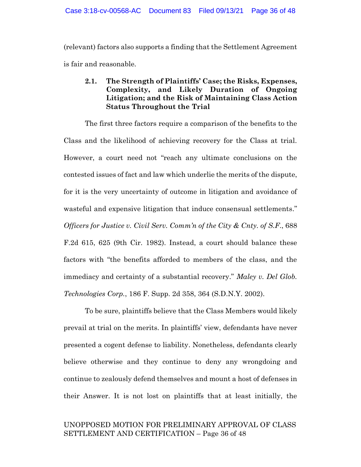(relevant) factors also supports a finding that the Settlement Agreement is fair and reasonable.

# **2.1. The Strength of Plaintiffs' Case; the Risks, Expenses, Complexity, and Likely Duration of Ongoing Litigation; and the Risk of Maintaining Class Action Status Throughout the Trial**

The first three factors require a comparison of the benefits to the Class and the likelihood of achieving recovery for the Class at trial. However, a court need not "reach any ultimate conclusions on the contested issues of fact and law which underlie the merits of the dispute, for it is the very uncertainty of outcome in litigation and avoidance of wasteful and expensive litigation that induce consensual settlements." *Officers for Justice v. Civil Serv. Comm'n of the City & Cnty. of S.F*., 688 F.2d 615, 625 (9th Cir. 1982). Instead, a court should balance these factors with "the benefits afforded to members of the class, and the immediacy and certainty of a substantial recovery." *Maley v. Del Glob. Technologies Corp.*, 186 F. Supp. 2d 358, 364 (S.D.N.Y. 2002).

To be sure, plaintiffs believe that the Class Members would likely prevail at trial on the merits. In plaintiffs' view, defendants have never presented a cogent defense to liability. Nonetheless, defendants clearly believe otherwise and they continue to deny any wrongdoing and continue to zealously defend themselves and mount a host of defenses in their Answer. It is not lost on plaintiffs that at least initially, the

### UNOPPOSED MOTION FOR PRELIMINARY APPROVAL OF CLASS SETTLEMENT AND CERTIFICATION – Page 36 of 48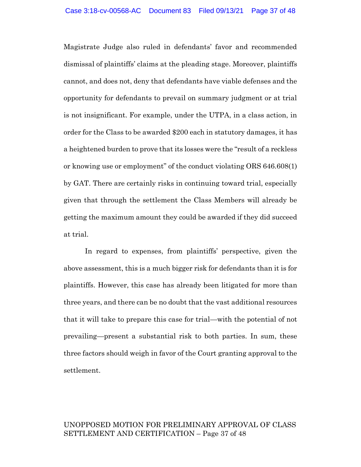Magistrate Judge also ruled in defendants' favor and recommended dismissal of plaintiffs' claims at the pleading stage. Moreover, plaintiffs cannot, and does not, deny that defendants have viable defenses and the opportunity for defendants to prevail on summary judgment or at trial is not insignificant. For example, under the UTPA, in a class action, in order for the Class to be awarded \$200 each in statutory damages, it has a heightened burden to prove that its losses were the "result of a reckless or knowing use or employment" of the conduct violating ORS 646.608(1) by GAT. There are certainly risks in continuing toward trial, especially given that through the settlement the Class Members will already be getting the maximum amount they could be awarded if they did succeed at trial.

In regard to expenses, from plaintiffs' perspective, given the above assessment, this is a much bigger risk for defendants than it is for plaintiffs. However, this case has already been litigated for more than three years, and there can be no doubt that the vast additional resources that it will take to prepare this case for trial—with the potential of not prevailing—present a substantial risk to both parties. In sum, these three factors should weigh in favor of the Court granting approval to the settlement.

### UNOPPOSED MOTION FOR PRELIMINARY APPROVAL OF CLASS SETTLEMENT AND CERTIFICATION – Page 37 of 48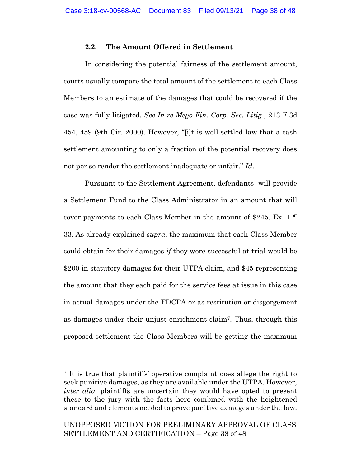### **2.2. The Amount Offered in Settlement**

In considering the potential fairness of the settlement amount, courts usually compare the total amount of the settlement to each Class Members to an estimate of the damages that could be recovered if the case was fully litigated. *See In re Mego Fin. Corp. Sec. Litig*., 213 F.3d 454, 459 (9th Cir. 2000). However, "[i]t is well-settled law that a cash settlement amounting to only a fraction of the potential recovery does not per se render the settlement inadequate or unfair." *Id*.

Pursuant to the Settlement Agreement, defendants will provide a Settlement Fund to the Class Administrator in an amount that will cover payments to each Class Member in the amount of \$245. Ex. 1 33. As already explained *supra*, the maximum that each Class Member could obtain for their damages *if* they were successful at trial would be \$200 in statutory damages for their UTPA claim, and \$45 representing the amount that they each paid for the service fees at issue in this case in actual damages under the FDCPA or as restitution or disgorgement as damages under their unjust enrichment claim7. Thus, through this proposed settlement the Class Members will be getting the maximum

<sup>7</sup> It is true that plaintiffs' operative complaint does allege the right to seek punitive damages, as they are available under the UTPA. However, *inter alia*, plaintiffs are uncertain they would have opted to present these to the jury with the facts here combined with the heightened standard and elements needed to prove punitive damages under the law.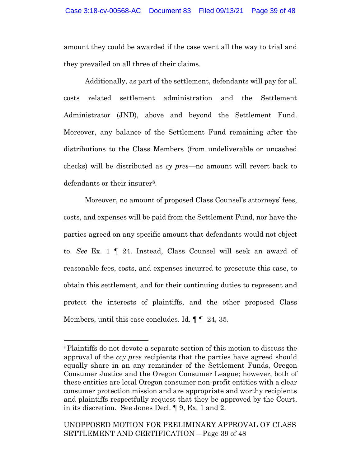amount they could be awarded if the case went all the way to trial and they prevailed on all three of their claims.

Additionally, as part of the settlement, defendants will pay for all costs related settlement administration and the Settlement Administrator (JND), above and beyond the Settlement Fund. Moreover, any balance of the Settlement Fund remaining after the distributions to the Class Members (from undeliverable or uncashed checks) will be distributed as *cy pres*—no amount will revert back to defendants or their insurer<sup>8</sup>.

Moreover, no amount of proposed Class Counsel's attorneys' fees, costs, and expenses will be paid from the Settlement Fund, nor have the parties agreed on any specific amount that defendants would not object to. *See* Ex. 1 ¶ 24. Instead, Class Counsel will seek an award of reasonable fees, costs, and expenses incurred to prosecute this case, to obtain this settlement, and for their continuing duties to represent and protect the interests of plaintiffs, and the other proposed Class Members, until this case concludes. Id.  $\P\P$  24, 35.

<sup>8</sup> Plaintiffs do not devote a separate section of this motion to discuss the approval of the *ccy pres* recipients that the parties have agreed should equally share in an any remainder of the Settlement Funds, Oregon Consumer Justice and the Oregon Consumer League; however, both of these entities are local Oregon consumer non-profit entities with a clear consumer protection mission and are appropriate and worthy recipients and plaintiffs respectfully request that they be approved by the Court, in its discretion. See Jones Decl. ¶ 9, Ex. 1 and 2.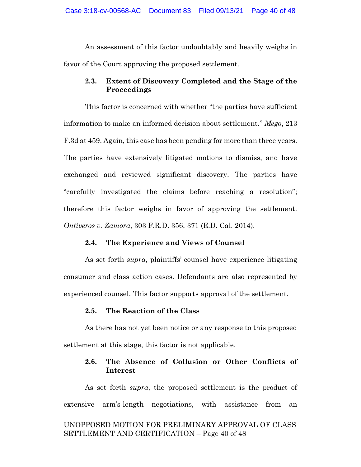An assessment of this factor undoubtably and heavily weighs in favor of the Court approving the proposed settlement.

### **2.3. Extent of Discovery Completed and the Stage of the Proceedings**

This factor is concerned with whether "the parties have sufficient information to make an informed decision about settlement." *Mego*, 213 F.3d at 459. Again, this case has been pending for more than three years. The parties have extensively litigated motions to dismiss, and have exchanged and reviewed significant discovery. The parties have "carefully investigated the claims before reaching a resolution"; therefore this factor weighs in favor of approving the settlement. *Ontiveros v. Zamora*, 303 F.R.D. 356, 371 (E.D. Cal. 2014).

### **2.4. The Experience and Views of Counsel**

As set forth *supra*, plaintiffs' counsel have experience litigating consumer and class action cases. Defendants are also represented by experienced counsel. This factor supports approval of the settlement.

### **2.5. The Reaction of the Class**

As there has not yet been notice or any response to this proposed settlement at this stage, this factor is not applicable.

### **2.6. The Absence of Collusion or Other Conflicts of Interest**

UNOPPOSED MOTION FOR PRELIMINARY APPROVAL OF CLASS SETTLEMENT AND CERTIFICATION – Page 40 of 48 As set forth *supra*, the proposed settlement is the product of extensive arm's-length negotiations, with assistance from an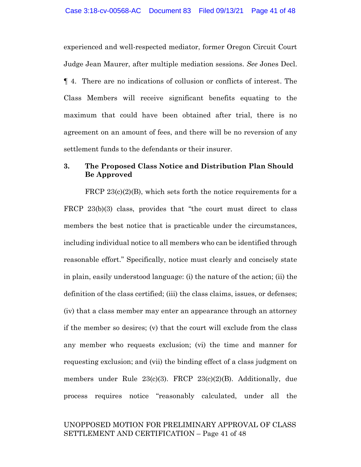experienced and well-respected mediator, former Oregon Circuit Court Judge Jean Maurer, after multiple mediation sessions. *See* Jones Decl. ¶ 4. There are no indications of collusion or conflicts of interest. The Class Members will receive significant benefits equating to the maximum that could have been obtained after trial, there is no agreement on an amount of fees, and there will be no reversion of any settlement funds to the defendants or their insurer.

### **3. The Proposed Class Notice and Distribution Plan Should Be Approved**

FRCP 23(c)(2)(B), which sets forth the notice requirements for a FRCP 23(b)(3) class, provides that "the court must direct to class members the best notice that is practicable under the circumstances, including individual notice to all members who can be identified through reasonable effort." Specifically, notice must clearly and concisely state in plain, easily understood language: (i) the nature of the action; (ii) the definition of the class certified; (iii) the class claims, issues, or defenses; (iv) that a class member may enter an appearance through an attorney if the member so desires; (v) that the court will exclude from the class any member who requests exclusion; (vi) the time and manner for requesting exclusion; and (vii) the binding effect of a class judgment on members under Rule 23(c)(3). FRCP 23(c)(2)(B). Additionally, due process requires notice "reasonably calculated, under all the

### UNOPPOSED MOTION FOR PRELIMINARY APPROVAL OF CLASS SETTLEMENT AND CERTIFICATION – Page 41 of 48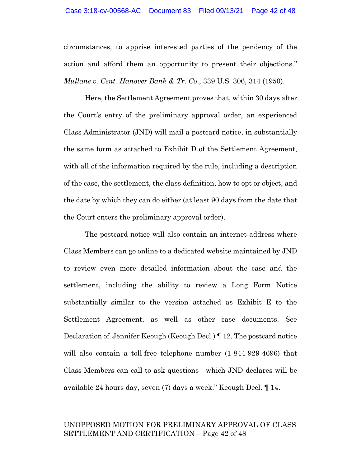circumstances, to apprise interested parties of the pendency of the action and afford them an opportunity to present their objections." *Mullane v. Cent. Hanover Bank & Tr. Co*., 339 U.S. 306, 314 (1950).

Here, the Settlement Agreement proves that, within 30 days after the Court's entry of the preliminary approval order, an experienced Class Administrator (JND) will mail a postcard notice, in substantially the same form as attached to Exhibit D of the Settlement Agreement, with all of the information required by the rule, including a description of the case, the settlement, the class definition, how to opt or object, and the date by which they can do either (at least 90 days from the date that the Court enters the preliminary approval order).

The postcard notice will also contain an internet address where Class Members can go online to a dedicated website maintained by JND to review even more detailed information about the case and the settlement, including the ability to review a Long Form Notice substantially similar to the version attached as Exhibit E to the Settlement Agreement, as well as other case documents. See Declaration of Jennifer Keough (Keough Decl.) ¶ 12. The postcard notice will also contain a toll-free telephone number (1-844-929-4696) that Class Members can call to ask questions—which JND declares will be available 24 hours day, seven (7) days a week." Keough Decl. ¶ 14.

# UNOPPOSED MOTION FOR PRELIMINARY APPROVAL OF CLASS SETTLEMENT AND CERTIFICATION – Page 42 of 48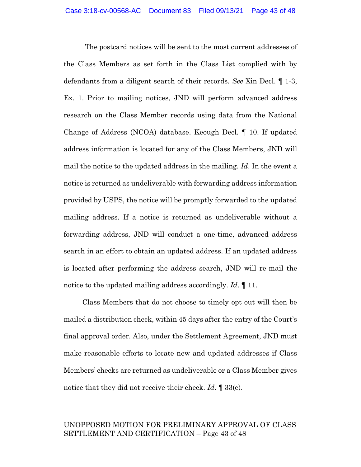The postcard notices will be sent to the most current addresses of the Class Members as set forth in the Class List complied with by defendants from a diligent search of their records. *See* Xin Decl. ¶ 1-3, Ex. 1. Prior to mailing notices, JND will perform advanced address research on the Class Member records using data from the National Change of Address (NCOA) database. Keough Decl. ¶ 10. If updated address information is located for any of the Class Members, JND will mail the notice to the updated address in the mailing. *Id*. In the event a notice is returned as undeliverable with forwarding address information provided by USPS, the notice will be promptly forwarded to the updated mailing address. If a notice is returned as undeliverable without a forwarding address, JND will conduct a one-time, advanced address search in an effort to obtain an updated address. If an updated address is located after performing the address search, JND will re-mail the notice to the updated mailing address accordingly. *Id*. ¶ 11.

Class Members that do not choose to timely opt out will then be mailed a distribution check, within 45 days after the entry of the Court's final approval order. Also, under the Settlement Agreement, JND must make reasonable efforts to locate new and updated addresses if Class Members' checks are returned as undeliverable or a Class Member gives notice that they did not receive their check. *Id*. ¶ 33(e).

# UNOPPOSED MOTION FOR PRELIMINARY APPROVAL OF CLASS SETTLEMENT AND CERTIFICATION – Page 43 of 48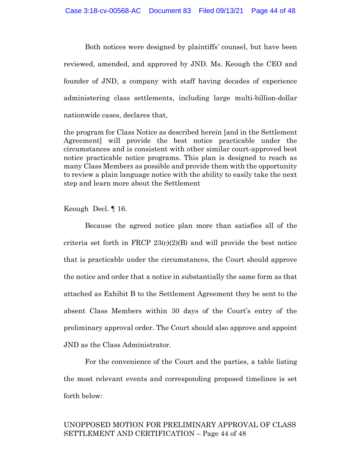Both notices were designed by plaintiffs' counsel, but have been reviewed, amended, and approved by JND. Ms. Keough the CEO and founder of JND, a company with staff having decades of experience administering class settlements, including large multi-billion-dollar nationwide cases, declares that,

the program for Class Notice as described herein [and in the Settlement Agreement] will provide the best notice practicable under the circumstances and is consistent with other similar court-approved best notice practicable notice programs. This plan is designed to reach as many Class Members as possible and provide them with the opportunity to review a plain language notice with the ability to easily take the next step and learn more about the Settlement

Keough Decl. ¶ 16.

Because the agreed notice plan more than satisfies all of the criteria set forth in FRCP  $23(c)(2)(B)$  and will provide the best notice that is practicable under the circumstances, the Court should approve the notice and order that a notice in substantially the same form as that attached as Exhibit B to the Settlement Agreement they be sent to the absent Class Members within 30 days of the Court's entry of the preliminary approval order. The Court should also approve and appoint JND as the Class Administrator.

For the convenience of the Court and the parties, a table listing the most relevant events and corresponding proposed timelines is set forth below:

# UNOPPOSED MOTION FOR PRELIMINARY APPROVAL OF CLASS SETTLEMENT AND CERTIFICATION – Page 44 of 48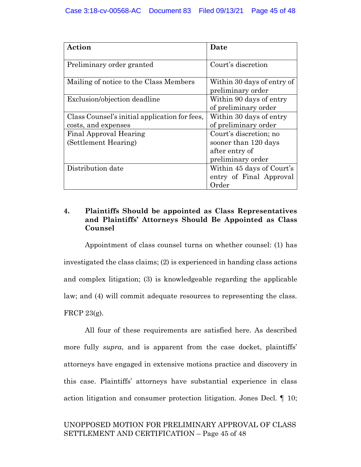| Action                                        | Date                                            |
|-----------------------------------------------|-------------------------------------------------|
| Preliminary order granted                     | Court's discretion                              |
| Mailing of notice to the Class Members        | Within 30 days of entry of<br>preliminary order |
| Exclusion/objection deadline                  | Within 90 days of entry<br>of preliminary order |
| Class Counsel's initial application for fees, | Within 30 days of entry                         |
| costs, and expenses                           | of preliminary order                            |
| <b>Final Approval Hearing</b>                 | Court's discretion; no                          |
| (Settlement Hearing)                          | sooner than 120 days                            |
|                                               | after entry of                                  |
|                                               | preliminary order                               |
| Distribution date                             | Within 45 days of Court's                       |
|                                               | entry of Final Approval                         |
|                                               | Order                                           |

### **4. Plaintiffs Should be appointed as Class Representatives and Plaintiffs' Attorneys Should Be Appointed as Class Counsel**

Appointment of class counsel turns on whether counsel: (1) has investigated the class claims; (2) is experienced in handing class actions and complex litigation; (3) is knowledgeable regarding the applicable law; and (4) will commit adequate resources to representing the class. FRCP 23(g).

All four of these requirements are satisfied here. As described more fully *supra*, and is apparent from the case docket, plaintiffs' attorneys have engaged in extensive motions practice and discovery in this case. Plaintiffs' attorneys have substantial experience in class action litigation and consumer protection litigation. Jones Decl. ¶ 10;

# UNOPPOSED MOTION FOR PRELIMINARY APPROVAL OF CLASS SETTLEMENT AND CERTIFICATION – Page 45 of 48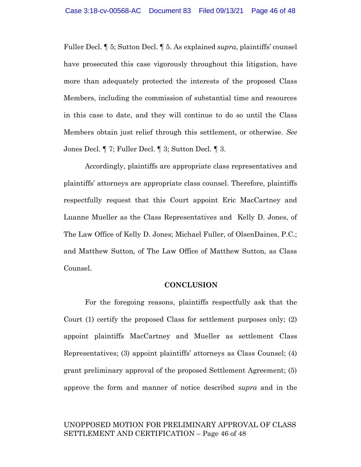Fuller Decl. ¶ 5; Sutton Decl. ¶ 5. As explained *supra*, plaintiffs' counsel have prosecuted this case vigorously throughout this litigation, have more than adequately protected the interests of the proposed Class Members, including the commission of substantial time and resources in this case to date, and they will continue to do so until the Class Members obtain just relief through this settlement, or otherwise. *See*  Jones Decl. ¶ 7; Fuller Decl. ¶ 3; Sutton Decl. ¶ 3.

Accordingly, plaintiffs are appropriate class representatives and plaintiffs' attorneys are appropriate class counsel. Therefore, plaintiffs respectfully request that this Court appoint Eric MacCartney and Luanne Mueller as the Class Representatives and Kelly D. Jones, of The Law Office of Kelly D. Jones; Michael Fuller, of OlsenDaines, P.C.; and Matthew Sutton, of The Law Office of Matthew Sutton, as Class Counsel.

### **CONCLUSION**

For the foregoing reasons, plaintiffs respectfully ask that the Court (1) certify the proposed Class for settlement purposes only; (2) appoint plaintiffs MacCartney and Mueller as settlement Class Representatives; (3) appoint plaintiffs' attorneys as Class Counsel; (4) grant preliminary approval of the proposed Settlement Agreement; (5) approve the form and manner of notice described *supra* and in the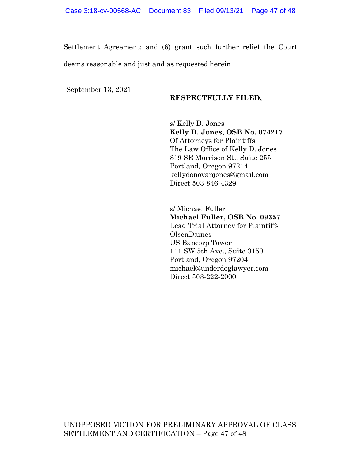Settlement Agreement; and (6) grant such further relief the Court deems reasonable and just and as requested herein.

September 13, 2021

### **RESPECTFULLY FILED,**

s/ Kelly D. Jones **Kelly D. Jones, OSB No. 074217** Of Attorneys for Plaintiffs The Law Office of Kelly D. Jones 819 SE Morrison St., Suite 255 Portland, Oregon 97214 kellydonovanjones@gmail.com Direct 503-846-4329

s/ Michael Fuller **Michael Fuller, OSB No. 09357** Lead Trial Attorney for Plaintiffs OlsenDaines US Bancorp Tower 111 SW 5th Ave., Suite 3150 Portland, Oregon 97204 michael@underdoglawyer.com Direct 503-222-2000